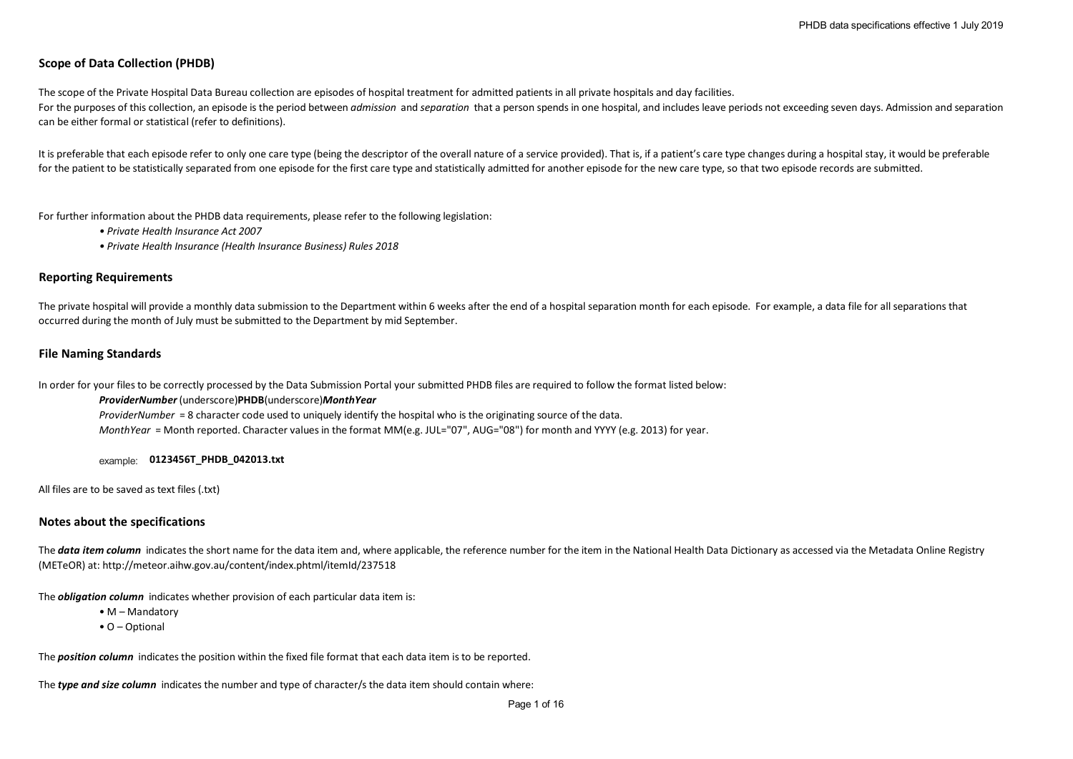# **Scope of Data Collection (PHDB)**

The scope of the Private Hospital Data Bureau collection are episodes of hospital treatment for admitted patients in all private hospitals and day facilities. For the purposes of this collection, an episode is the period between *admission* and *separation* that a person spends in one hospital, and includes leave periods not exceeding seven days. Admission and separation can be either formal or statistical (refer to definitions).

It is preferable that each episode refer to only one care type (being the descriptor of the overall nature of a service provided). That is, if a patient's care type changes during a hospital stay, it would be preferable for the patient to be statistically separated from one episode for the first care type and statistically admitted for another episode for the new care type, so that two episode records are submitted.

For further information about the PHDB data requirements, please refer to the following legislation:

- *Private Health Insurance Act 2007*
- *Private Health Insurance (Health Insurance Business) Rules 2018*

### **Reporting Requirements**

The private hospital will provide a monthly data submission to the Department within 6 weeks after the end of a hospital separation month for each episode. For example, a data file for all separations that occurred during the month of July must be submitted to the Department by mid September.

## **File Naming Standards**

In order for your files to be correctly processed by the Data Submission Portal your submitted PHDB files are required to follow the format listed below:

#### *ProviderNumber* (underscore)**PHDB**(underscore)*MonthYear*

*ProviderNumber* = 8 character code used to uniquely identify the hospital who is the originating source of the data. *MonthYear* = Month reported. Character values in the format MM(e.g. JUL="07", AUG="08") for month and YYYY (e.g. 2013) for year.

example: **0123456T\_PHDB\_042013.txt**

All files are to be saved as text files (.txt)

## **Notes about the specifications**

The **data item column** indicates the short name for the data item and, where applicable, the reference number for the item in the National Health Data Dictionary as accessed via the Metadata Online Registry (METeOR) at: http://meteor.aihw.gov.au/content/index.phtml/itemId/237518

The *obligation column* indicates whether provision of each particular data item is:

- M Mandatory
- O Optional

The *position column* indicates the position within the fixed file format that each data item is to be reported.

The *type and size column* indicates the number and type of character/s the data item should contain where: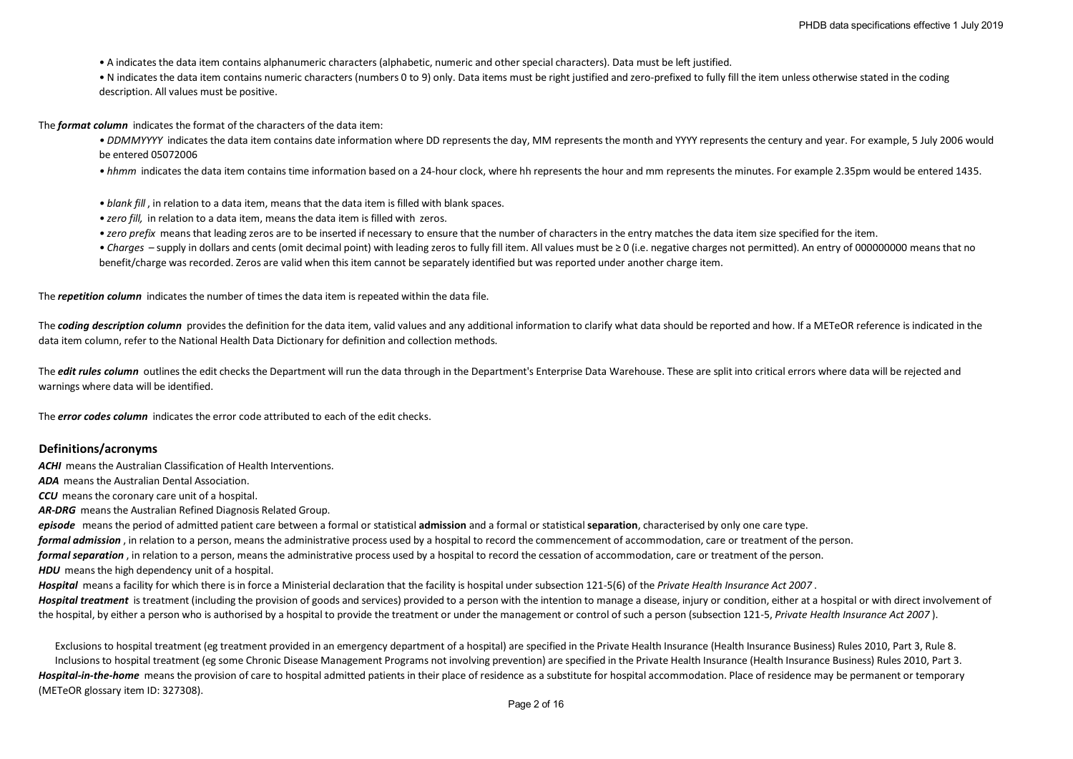- A indicates the data item contains alphanumeric characters (alphabetic, numeric and other special characters). Data must be left justified.
- N indicates the data item contains numeric characters (numbers 0 to 9) only. Data items must be right justified and zero-prefixed to fully fill the item unless otherwise stated in the coding description. All values must be positive.

The *format column* indicates the format of the characters of the data item:

- *DDMMYYYY* indicates the data item contains date information where DD represents the day, MM represents the month and YYYY represents the century and year. For example, 5 July 2006 would be entered 05072006
- *hhmm* indicates the data item contains time information based on a 24-hour clock, where hh represents the hour and mm represents the minutes. For example 2.35pm would be entered 1435.
- *blank fill* , in relation to a data item, means that the data item is filled with blank spaces.
- *zero fill,* in relation to a data item, means the data item is filled with zeros.
- *zero prefix* means that leading zeros are to be inserted if necessary to ensure that the number of characters in the entry matches the data item size specified for the item.
- *Charges*  supply in dollars and cents (omit decimal point) with leading zeros to fully fill item. All values must be ≥ 0 (i.e. negative charges not permitted). An entry of 000000000 means that no benefit/charge was recorded. Zeros are valid when this item cannot be separately identified but was reported under another charge item.

The *repetition column* indicates the number of times the data item is repeated within the data file.

The **coding description column** provides the definition for the data item, valid values and any additional information to clarify what data should be reported and how. If a METeOR reference is indicated in the data item column, refer to the National Health Data Dictionary for definition and collection methods.

The *edit rules column* outlines the edit checks the Department will run the data through in the Department's Enterprise Data Warehouse. These are split into critical errors where data will be rejected and warnings where data will be identified.

The *error codes column* indicates the error code attributed to each of the edit checks.

#### **Definitions/acronyms**

*ACHI* means the Australian Classification of Health Interventions.

*ADA* means the Australian Dental Association.

*CCU* means the coronary care unit of a hospital.

*AR-DRG* means the Australian Refined Diagnosis Related Group.

*episode* means the period of admitted patient care between a formal or statistical **admission** and a formal or statistical **separation**, characterised by only one care type.

*formal admission* , in relation to a person, means the administrative process used by a hospital to record the commencement of accommodation, care or treatment of the person.

*formal separation* , in relation to a person, means the administrative process used by a hospital to record the cessation of accommodation, care or treatment of the person.

**HDU** means the high dependency unit of a hospital.

*Hospital* means a facility for which there is in force a Ministerial declaration that the facility is hospital under subsection 121-5(6) of the *Private Health Insurance Act 2007* .

Hospital treatment is treatment (including the provision of goods and services) provided to a person with the intention to manage a disease, injury or condition, either at a hospital or with direct involvement of the hospital, by either a person who is authorised by a hospital to provide the treatment or under the management or control of such a person (subsection 121-5, *Private Health Insurance Act 2007* ).

Hospital-in-the-home means the provision of care to hospital admitted patients in their place of residence as a substitute for hospital accommodation. Place of residence may be permanent or temporary (METeOR glossary item ID: 327308). Inclusions to hospital treatment (eg some Chronic Disease Management Programs not involving prevention) are specified in the Private Health Insurance (Health Insurance Business) Rules 2010, Part 3. Exclusions to hospital treatment (eg treatment provided in an emergency department of a hospital) are specified in the Private Health Insurance (Health Insurance Business) Rules 2010, Part 3, Rule 8.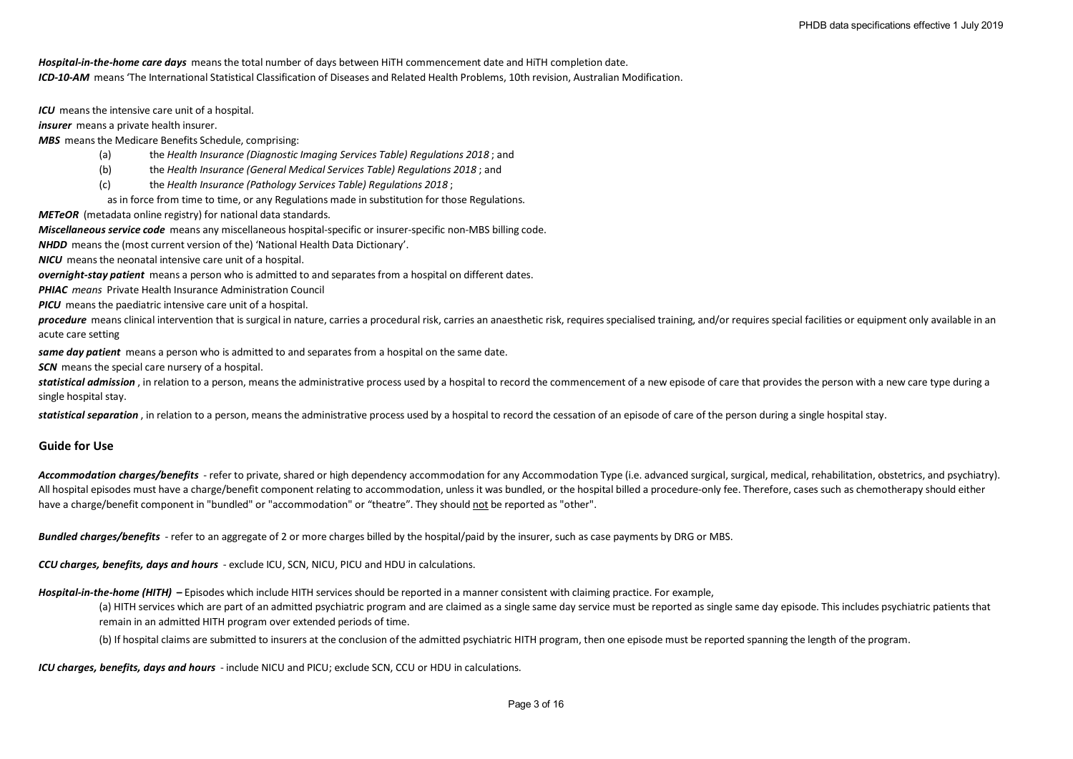*ICD-10-AM* means 'The International Statistical Classification of Diseases and Related Health Problems, 10th revision, Australian Modification. *Hospital-in-the-home care days* means the total number of days between HiTH commencement date and HiTH completion date.

*ICU* means the intensive care unit of a hospital.

*insurer* means a private health insurer.

*MBS* means the Medicare Benefits Schedule, comprising:

- (a) the *Health Insurance (Diagnostic Imaging Services Table) Regulations 2018* ; and
- (b) the *Health Insurance (General Medical Services Table) Regulations 2018* ; and
- (c) the *Health Insurance (Pathology Services Table) Regulations 2018* ;
- as in force from time to time, or any Regulations made in substitution for those Regulations.

*METeOR* (metadata online registry) for national data standards.

*Miscellaneous service code* means any miscellaneous hospital-specific or insurer-specific non-MBS billing code.

*NHDD* means the (most current version of the) 'National Health Data Dictionary'.

*NICU* means the neonatal intensive care unit of a hospital.

*overnight-stay patient* means a person who is admitted to and separates from a hospital on different dates.

*PHIAC means* Private Health Insurance Administration Council

*PICU* means the paediatric intensive care unit of a hospital.

procedure means clinical intervention that is surgical in nature, carries a procedural risk, carries an anaesthetic risk, requires specialised training, and/or requires special facilities or equipment only available in an acute care setting

*same day patient* means a person who is admitted to and separates from a hospital on the same date.

**SCN** means the special care nursery of a hospital.

statistical admission, in relation to a person, means the administrative process used by a hospital to record the commencement of a new episode of care that provides the person with a new care type during a single hospital stay.

statistical separation, in relation to a person, means the administrative process used by a hospital to record the cessation of an episode of care of the person during a single hospital stay.

## **Guide for Use**

Accommodation charges/benefits - refer to private, shared or high dependency accommodation for any Accommodation Type (i.e. advanced surgical, surgical, medical, rehabilitation, obstetrics, and psychiatry). All hospital episodes must have a charge/benefit component relating to accommodation, unless it was bundled, or the hospital billed a procedure-only fee. Therefore, cases such as chemotherapy should either have a charge/benefit component in "bundled" or "accommodation" or "theatre". They should not be reported as "other".

*Bundled charges/benefits* - refer to an aggregate of 2 or more charges billed by the hospital/paid by the insurer, such as case payments by DRG or MBS.

*CCU charges, benefits, days and hours* - exclude ICU, SCN, NICU, PICU and HDU in calculations.

*Hospital-in-the-home (HITH)* **–** Episodes which include HITH services should be reported in a manner consistent with claiming practice. For example,

(a) HITH services which are part of an admitted psychiatric program and are claimed as a single same day service must be reported as single same day episode. This includes psychiatric patients that remain in an admitted HITH program over extended periods of time.

(b) If hospital claims are submitted to insurers at the conclusion of the admitted psychiatric HITH program, then one episode must be reported spanning the length of the program.

*ICU charges, benefits, days and hours* - include NICU and PICU; exclude SCN, CCU or HDU in calculations.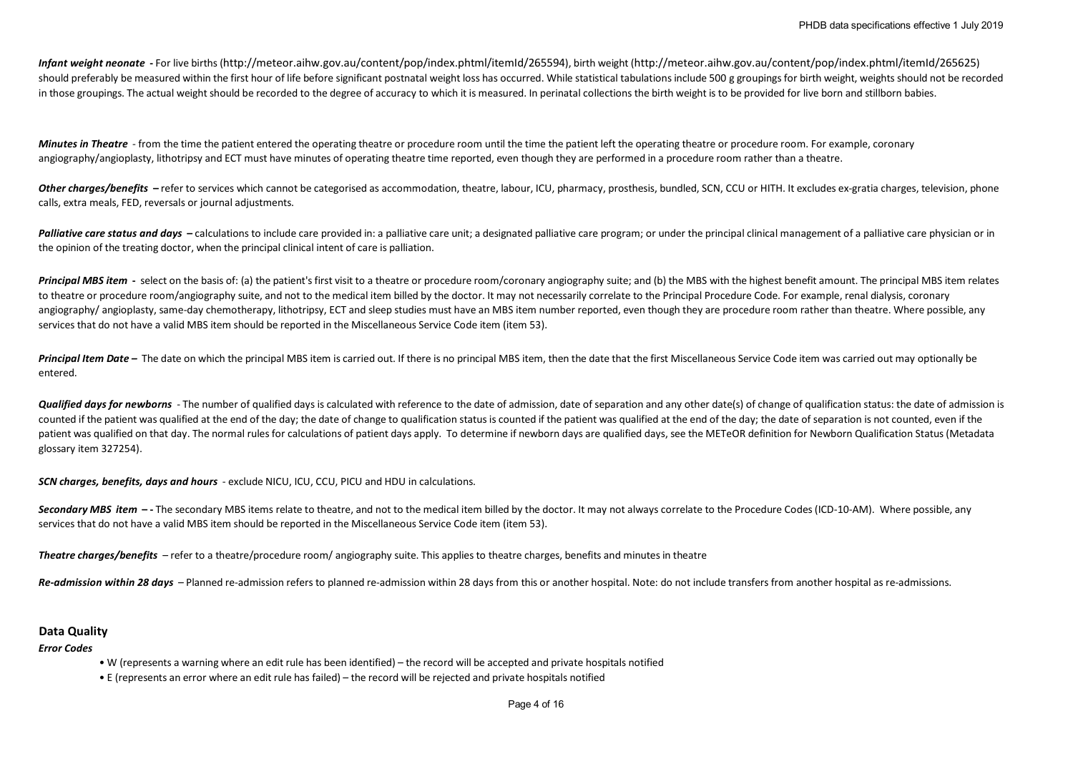*Infant weight neonate* **-** For live births (http://meteor.aihw.gov.au/content/pop/index.phtml/itemId/265594), birth weight (http://meteor.aihw.gov.au/content/pop/index.phtml/itemId/265625) should preferably be measured within the first hour of life before significant postnatal weight loss has occurred. While statistical tabulations include 500 g groupings for birth weight, weights should not be recorded in those groupings. The actual weight should be recorded to the degree of accuracy to which it is measured. In perinatal collections the birth weight is to be provided for live born and stillborn babies.

*Minutes in Theatre* - from the time the patient entered the operating theatre or procedure room until the time the patient left the operating theatre or procedure room. For example, coronary angiography/angioplasty, lithotripsy and ECT must have minutes of operating theatre time reported, even though they are performed in a procedure room rather than a theatre.

Other charges/benefits – refer to services which cannot be categorised as accommodation, theatre, labour, ICU, pharmacy, prosthesis, bundled, SCN, CCU or HITH. It excludes ex-gratia charges, television, phone calls, extra meals, FED, reversals or journal adjustments.

Palliative care status and days - calculations to include care provided in: a palliative care unit; a designated palliative care program; or under the principal clinical management of a palliative care physician or in the opinion of the treating doctor, when the principal clinical intent of care is palliation.

Principal MBS item - select on the basis of: (a) the patient's first visit to a theatre or procedure room/coronary angiography suite; and (b) the MBS with the highest benefit amount. The principal MBS item relates to theatre or procedure room/angiography suite, and not to the medical item billed by the doctor. It may not necessarily correlate to the Principal Procedure Code. For example, renal dialysis, coronary angiography/angioplasty, same-day chemotherapy, lithotripsy, ECT and sleep studies must have an MBS item number reported, even though they are procedure room rather than theatre. Where possible, any services that do not have a valid MBS item should be reported in the Miscellaneous Service Code item (item 53).

**Principal Item Date –** The date on which the principal MBS item is carried out. If there is no principal MBS item, then the date that the first Miscellaneous Service Code item was carried out may optionally be entered.

**Qualified days for newborns** - The number of qualified days is calculated with reference to the date of admission, date of separation and any other date(s) of change of qualification status: the date of admission is counted if the patient was qualified at the end of the day; the date of change to qualification status is counted if the patient was qualified at the end of the day; the date of separation is not counted, even if the patient was qualified on that day. The normal rules for calculations of patient days apply. To determine if newborn days are qualified days, see the METeOR definition for Newborn Qualification Status (Metadata glossary item 327254).

*SCN charges, benefits, days and hours* - exclude NICU, ICU, CCU, PICU and HDU in calculations.

Secondary MBS item  $-$ -The secondary MBS items relate to theatre, and not to the medical item billed by the doctor. It may not always correlate to the Procedure Codes (ICD-10-AM). Where possible, any services that do not have a valid MBS item should be reported in the Miscellaneous Service Code item (item 53).

*Theatre charges/benefits* – refer to a theatre/procedure room/ angiography suite. This applies to theatre charges, benefits and minutes in theatre

*Re-admission within 28 days* – Planned re-admission refers to planned re-admission within 28 days from this or another hospital. Note: do not include transfers from another hospital as re-admissions.

#### **Data Quality**

*Error Codes*

- W (represents a warning where an edit rule has been identified) the record will be accepted and private hospitals notified
- E (represents an error where an edit rule has failed) the record will be rejected and private hospitals notified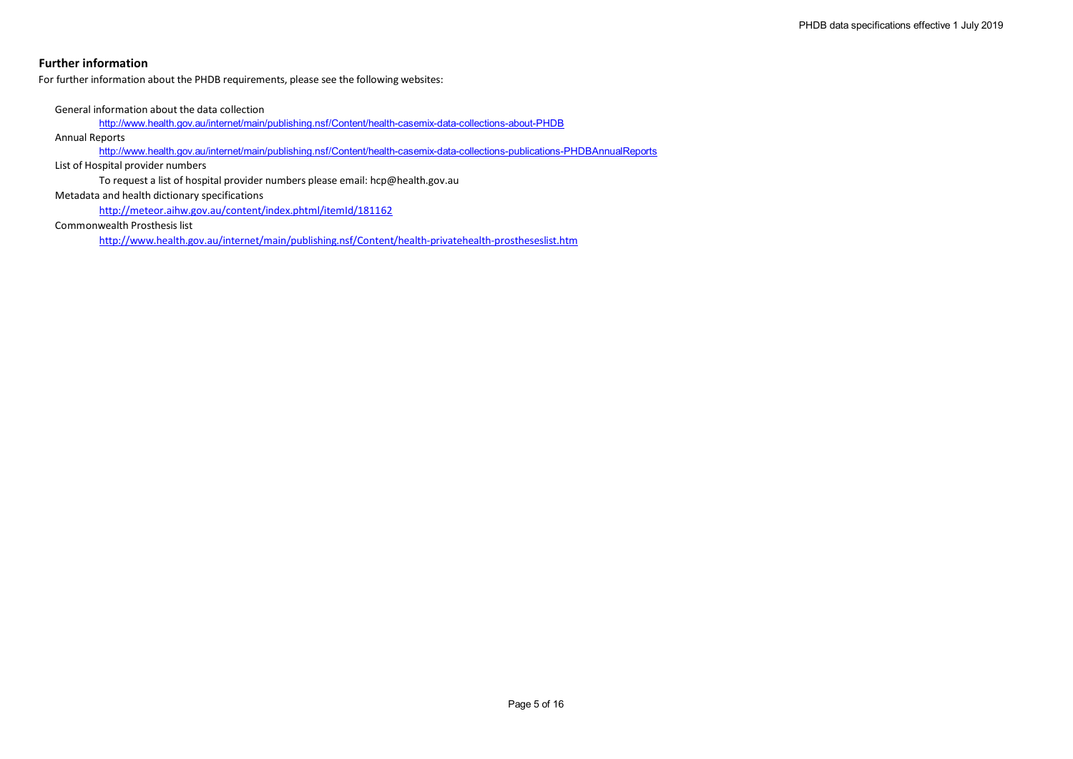# **Further information**

For further information about the PHDB requirements, please see the following websites:

General information about the data collection

http://www.health.gov.au/internet/main/publishing.nsf/Content/health-casemix-data-collections-about-PHDB

Annual Reports

http://www.health.gov.au/internet/main/publishing.nsf/Content/health-casemix-data-collections-publications-PHDBAnnualReports

List of Hospital provider numbers

To request a list of hospital provider numbers please email: hcp@health.gov.au Metadata and health dictionary specifications

http://meteor.aihw.gov.au/content/index.phtml/itemId/181162

Commonwealth Prosthesis list

http://www.health.gov.au/internet/main/publishing.nsf/Content/health-privatehealth-prostheseslist.htm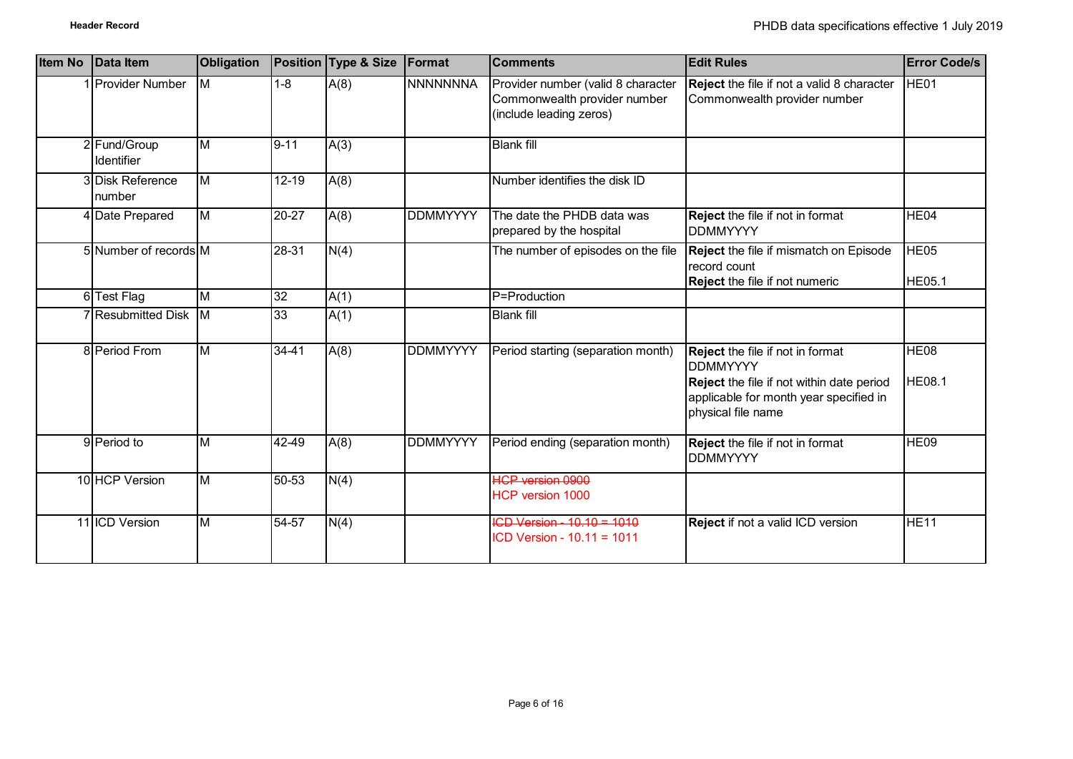| <b>Item No</b> | Data Item                        | <b>Obligation</b>       |           | Position Type & Size | <b>Format</b>   | <b>Comments</b>                                                                               | <b>Edit Rules</b>                                                                                                                                                       | <b>Error Code/s</b>               |
|----------------|----------------------------------|-------------------------|-----------|----------------------|-----------------|-----------------------------------------------------------------------------------------------|-------------------------------------------------------------------------------------------------------------------------------------------------------------------------|-----------------------------------|
|                | <b>Provider Number</b>           | M                       | $1 - 8$   | A(8)                 | <b>NNNNNNNA</b> | Provider number (valid 8 character<br>Commonwealth provider number<br>(include leading zeros) | Reject the file if not a valid 8 character<br>Commonwealth provider number                                                                                              | HE01                              |
|                | 2 Fund/Group<br>Identifier       | M                       | $9 - 11$  | A(3)                 |                 | <b>Blank fill</b>                                                                             |                                                                                                                                                                         |                                   |
|                | <b>3Disk Reference</b><br>number | $\overline{\mathsf{M}}$ | $12 - 19$ | A(8)                 |                 | Number identifies the disk ID                                                                 |                                                                                                                                                                         |                                   |
|                | 4 Date Prepared                  | $\overline{\mathsf{M}}$ | $20 - 27$ | A(8)                 | <b>DDMMYYYY</b> | The date the PHDB data was<br>prepared by the hospital                                        | <b>Reject</b> the file if not in format<br><b>DDMMYYYY</b>                                                                                                              | HE <sub>04</sub>                  |
|                | 5 Number of records M            |                         | $28-31$   | N(4)                 |                 | The number of episodes on the file                                                            | Reject the file if mismatch on Episode<br>record count<br>Reject the file if not numeric                                                                                | HE <sub>05</sub><br><b>HE05.1</b> |
|                | 6 Test Flag                      | M                       | 32        | A(1)                 |                 | P=Production                                                                                  |                                                                                                                                                                         |                                   |
|                | 7 Resubmitted Disk M             |                         | 33        | A(1)                 |                 | <b>Blank fill</b>                                                                             |                                                                                                                                                                         |                                   |
|                | 8 Period From                    | $\overline{M}$          | $34 - 41$ | A(8)                 | <b>DDMMYYYY</b> | Period starting (separation month)                                                            | <b>Reject</b> the file if not in format<br><b>DDMMYYYY</b><br>Reject the file if not within date period<br>applicable for month year specified in<br>physical file name | HE <sub>08</sub><br><b>HE08.1</b> |
|                | 9 Period to                      | M                       | 42-49     | A(8)                 | <b>DDMMYYYY</b> | Period ending (separation month)                                                              | <b>Reject</b> the file if not in format<br><b>DDMMYYYY</b>                                                                                                              | <b>HE09</b>                       |
|                | 10 HCP Version                   | $\overline{\mathsf{M}}$ | $50 - 53$ | N(4)                 |                 | <b>HCP version 0900</b><br><b>HCP version 1000</b>                                            |                                                                                                                                                                         |                                   |
|                | 11 ICD Version                   | M                       | 54-57     | N(4)                 |                 | $ICD Version - 10.10 = 1010$<br>ICD Version - 10.11 = 1011                                    | <b>Reject</b> if not a valid ICD version                                                                                                                                | HE11                              |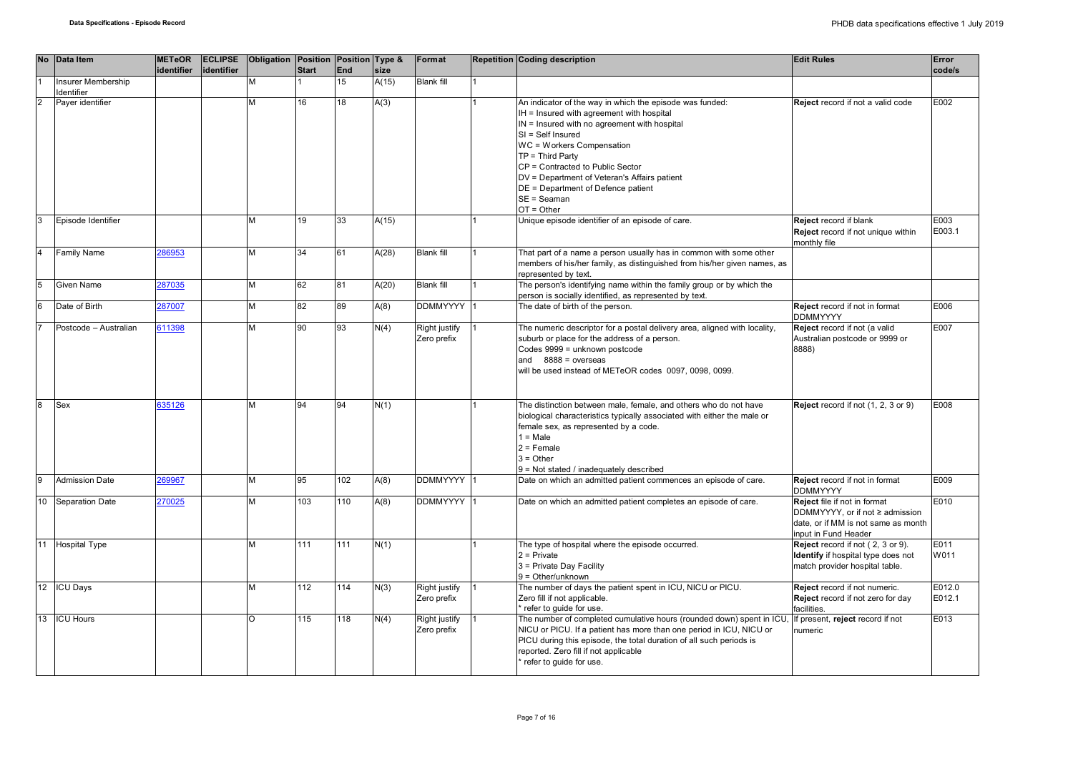|                | No Data Item          | <b>METeOR</b> |            | <b>ECLIPSE</b> Obligation Position Position Type & |              |           |               | Format                       | Repetition Coding description                                                                                                                                                                                                                                                                                                                                                          | <b>Edit Rules</b>                                                                                                              | Error            |
|----------------|-----------------------|---------------|------------|----------------------------------------------------|--------------|-----------|---------------|------------------------------|----------------------------------------------------------------------------------------------------------------------------------------------------------------------------------------------------------------------------------------------------------------------------------------------------------------------------------------------------------------------------------------|--------------------------------------------------------------------------------------------------------------------------------|------------------|
|                | Insurer Membership    | identifier    | identifier | M                                                  | <b>Start</b> | End<br>15 | size<br>A(15) | <b>Blank fill</b>            |                                                                                                                                                                                                                                                                                                                                                                                        |                                                                                                                                | code/s           |
|                | Identifier            |               |            |                                                    |              |           |               |                              |                                                                                                                                                                                                                                                                                                                                                                                        |                                                                                                                                |                  |
| $\overline{2}$ | Payer identifier      |               |            | M                                                  | 16           | 18        | A(3)          |                              | An indicator of the way in which the episode was funded:<br>IH = Insured with agreement with hospital<br>IN = Insured with no agreement with hospital<br>SI = Self Insured<br>WC = Workers Compensation<br>$TP = Third Party$<br>CP = Contracted to Public Sector<br>DV = Department of Veteran's Affairs patient<br>DE = Department of Defence patient<br>SE = Seaman<br>$OT = Other$ | Reject record if not a valid code                                                                                              | E002             |
| 3              | Episode Identifier    |               |            | M                                                  | 19           | 33        | A(15)         |                              | Unique episode identifier of an episode of care.                                                                                                                                                                                                                                                                                                                                       | Reject record if blank<br>Reject record if not unique within<br>monthly file                                                   | E003<br>E003.1   |
| l4             | <b>Family Name</b>    | 286953        |            | M                                                  | 34           | 61        | A(28)         | <b>Blank fill</b>            | That part of a name a person usually has in common with some other<br>members of his/her family, as distinguished from his/her given names, as<br>represented by text.                                                                                                                                                                                                                 |                                                                                                                                |                  |
| 5              | Given Name            | 287035        |            | M                                                  | 62           | 81        | A(20)         | <b>Blank fill</b>            | The person's identifying name within the family group or by which the<br>person is socially identified, as represented by text.                                                                                                                                                                                                                                                        |                                                                                                                                |                  |
| $\overline{6}$ | Date of Birth         | 287007        |            | M                                                  | 82           | 89        | A(8)          | <b>DDMMYYYY</b>              | The date of birth of the person.                                                                                                                                                                                                                                                                                                                                                       | Reject record if not in format<br><b>DDMMYYYY</b>                                                                              | E006             |
|                | Postcode - Australian | 611398        |            | M                                                  | 90           | 93        | N(4)          | Right justify<br>Zero prefix | The numeric descriptor for a postal delivery area, aligned with locality,<br>suburb or place for the address of a person.<br>Codes 9999 = unknown postcode<br>and $8888 = 0$ verseas<br>will be used instead of METeOR codes 0097, 0098, 0099.                                                                                                                                         | Reject record if not (a valid<br>Australian postcode or 9999 or<br>8888)                                                       | E007             |
| $\overline{8}$ | Sex                   | 635126        |            | M                                                  | 94           | 94        | N(1)          |                              | The distinction between male, female, and others who do not have<br>biological characteristics typically associated with either the male or<br>female sex, as represented by a code.<br>$1 = Male$<br>$2 =$ Female<br>$3 = Other$<br>9 = Not stated / inadequately described                                                                                                           | Reject record if not (1, 2, 3 or 9)                                                                                            | E008             |
| l9             | <b>Admission Date</b> | 269967        |            | M                                                  | 95           | 102       | A(8)          | <b>DDMMYYYY</b>              | Date on which an admitted patient commences an episode of care.                                                                                                                                                                                                                                                                                                                        | Reject record if not in format<br><b>DDMMYYYY</b>                                                                              | E009             |
| 10             | Separation Date       | 270025        |            | M                                                  | 103          | 110       | A(8)          | <b>DDMMYYYY</b>              | Date on which an admitted patient completes an episode of care.                                                                                                                                                                                                                                                                                                                        | Reject file if not in format<br>DDMMYYYY, or if not ≥ admission<br>date, or if MM is not same as month<br>input in Fund Header | E010             |
| 11             | <b>Hospital Type</b>  |               |            | M                                                  | 111          | 111       | N(1)          |                              | The type of hospital where the episode occurred.<br>$2$ = Private<br>3 = Private Day Facility<br>$9 = Other/unknown$                                                                                                                                                                                                                                                                   | Reject record if not (2, 3 or 9).<br>Identify if hospital type does not<br>match provider hospital table.                      | E011<br>W011     |
|                | 12 ICU Days           |               |            | M                                                  | 112          | 114       | N(3)          | Right justify<br>Zero prefix | The number of days the patient spent in ICU, NICU or PICU.<br>Zero fill if not applicable.<br>refer to quide for use.                                                                                                                                                                                                                                                                  | Reject record if not numeric.<br>Reject record if not zero for day<br>facilities.                                              | E012.0<br>E012.1 |
| 13             | <b>ICU Hours</b>      |               |            | $\circ$                                            | 115          | 118       | N(4)          | Right justify<br>Zero prefix | The number of completed cumulative hours (rounded down) spent in ICU,<br>NICU or PICU. If a patient has more than one period in ICU, NICU or<br>PICU during this episode, the total duration of all such periods is<br>reported. Zero fill if not applicable<br>refer to guide for use.                                                                                                | If present, reject record if not<br>numeric                                                                                    | E013             |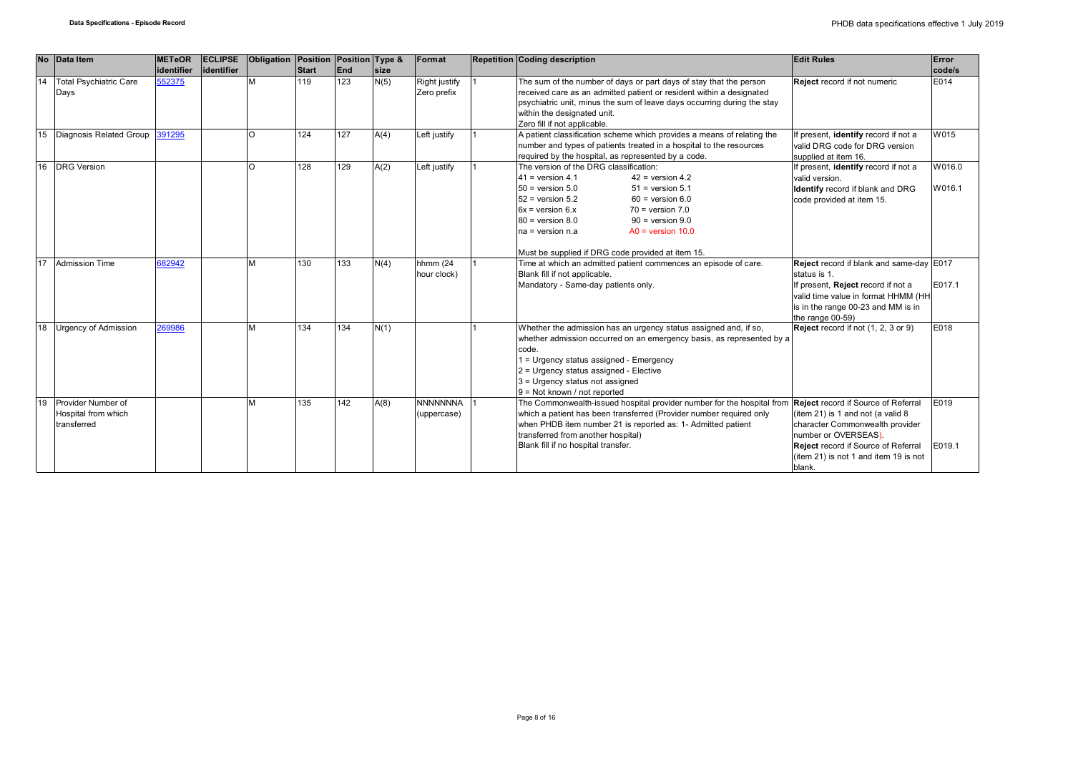|    | No Data Item                                             | <b>METeOR</b> | <b>ECLIPSE</b> | Obligation Position Position Type & |              |     |             | Format                         | <b>Repetition Coding description</b>                                                                                                                                                                                                                                                                                                                                             | <b>Edit Rules</b>                                                                                                                                                                               | Error            |
|----|----------------------------------------------------------|---------------|----------------|-------------------------------------|--------------|-----|-------------|--------------------------------|----------------------------------------------------------------------------------------------------------------------------------------------------------------------------------------------------------------------------------------------------------------------------------------------------------------------------------------------------------------------------------|-------------------------------------------------------------------------------------------------------------------------------------------------------------------------------------------------|------------------|
|    |                                                          | identifier    | lidentifier    |                                     | <b>Start</b> | End | <b>Size</b> |                                |                                                                                                                                                                                                                                                                                                                                                                                  |                                                                                                                                                                                                 | code/s           |
| 14 | <b>Total Psychiatric Care</b><br>Days                    | 552375        |                | M                                   | 119          | 123 | N(5)        | Right justify<br>Zero prefix   | The sum of the number of days or part days of stay that the person<br>received care as an admitted patient or resident within a designated<br>psychiatric unit, minus the sum of leave days occurring during the stay<br>within the designated unit.<br>Zero fill if not applicable.                                                                                             | Reject record if not numeric                                                                                                                                                                    | E014             |
| 15 | Diagnosis Related Group 391295                           |               |                | $\Omega$                            | 124          | 127 | A(4)        | Left justify                   | A patient classification scheme which provides a means of relating the<br>number and types of patients treated in a hospital to the resources<br>required by the hospital, as represented by a code.                                                                                                                                                                             | If present, identify record if not a<br>valid DRG code for DRG version<br>supplied at item 16.                                                                                                  | W015             |
| 16 | <b>DRG</b> Version                                       |               |                | $\Omega$                            | 128          | 129 | A(2)        | Left justify                   | The version of the DRG classification:<br>$41$ = version 4.1<br>$42$ = version 4.2<br>$50 =$ version $5.0$<br>$51$ = version $5.1$<br>$52$ = version $5.2$<br>$60$ = version $6.0$<br>$6x = version 6.x$<br>$70 = version 7.0$<br>$80 =$ version $8.0$<br>$90 =$ version $9.0$<br>$AO = version 10.0$<br>$na = version n.a$<br>Must be supplied if DRG code provided at item 15. | If present, identify record if not a<br>valid version.<br><b>Identify</b> record if blank and DRG<br>code provided at item 15.                                                                  | W016.0<br>W016.1 |
| 17 | <b>Admission Time</b>                                    | 682942        |                | M                                   | 130          | 133 | N(4)        | hhmm (24<br>hour clock)        | Time at which an admitted patient commences an episode of care.<br>Blank fill if not applicable.<br>Mandatory - Same-day patients only.                                                                                                                                                                                                                                          | Reject record if blank and same-day E017<br>status is 1.<br>If present, Reject record if not a<br>valid time value in format HHMM (HH<br>is in the range 00-23 and MM is in<br>the range 00-59) | E017.1           |
| 18 | <b>Urgency of Admission</b>                              | 269986        |                | M                                   | 134          | 134 | N(1)        |                                | Whether the admission has an urgency status assigned and, if so,<br>whether admission occurred on an emergency basis, as represented by a<br>code.<br>= Urgency status assigned - Emergency<br>2 = Urgency status assigned - Elective<br>3 = Urgency status not assigned<br>9 = Not known / not reported                                                                         | Reject record if not (1, 2, 3 or 9)                                                                                                                                                             | E018             |
| 19 | Provider Number of<br>Hospital from which<br>transferred |               |                | M                                   | 135          | 142 | A(8)        | <b>NNNNNNNA</b><br>(uppercase) | The Commonwealth-issued hospital provider number for the hospital from <b>Reject</b> record if Source of Referral<br>which a patient has been transferred (Provider number required only<br>when PHDB item number 21 is reported as: 1- Admitted patient<br>transferred from another hospital)<br>Blank fill if no hospital transfer.                                            | (item 21) is 1 and not (a valid 8<br>character Commonwealth provider<br>number or OVERSEAS).<br>Reject record if Source of Referral<br>(item 21) is not 1 and item 19 is not<br>blank.          | E019<br>E019.1   |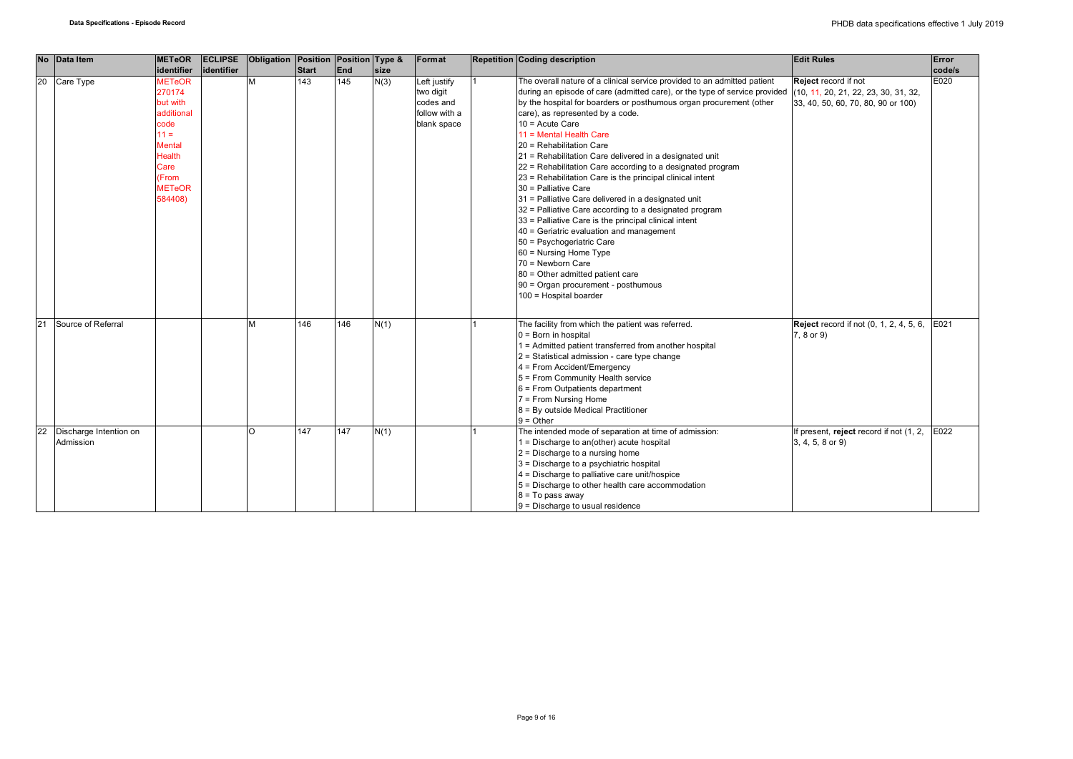| No Data Item                                           | <b>METeOR</b>                                                                                                                                      |            | <b>ECLIPSE</b> Obligation Position Position Type & |       |     |      | Format                                                                 | <b>Repetition Coding description</b>                                                                                                                                                                                                                                                                                                                                                                                                                                                                                                                                                                                                                                                                                                                                                                                                                                                                                                                               | <b>Edit Rules</b>                                                                                  | Error  |
|--------------------------------------------------------|----------------------------------------------------------------------------------------------------------------------------------------------------|------------|----------------------------------------------------|-------|-----|------|------------------------------------------------------------------------|--------------------------------------------------------------------------------------------------------------------------------------------------------------------------------------------------------------------------------------------------------------------------------------------------------------------------------------------------------------------------------------------------------------------------------------------------------------------------------------------------------------------------------------------------------------------------------------------------------------------------------------------------------------------------------------------------------------------------------------------------------------------------------------------------------------------------------------------------------------------------------------------------------------------------------------------------------------------|----------------------------------------------------------------------------------------------------|--------|
|                                                        | identifier                                                                                                                                         | identifier |                                                    | Start | End | size |                                                                        |                                                                                                                                                                                                                                                                                                                                                                                                                                                                                                                                                                                                                                                                                                                                                                                                                                                                                                                                                                    |                                                                                                    | code/s |
| 20<br>Care Type                                        | <b>METeOR</b><br>270174<br>but with<br>additional<br>code<br>$11 =$<br><b>Mental</b><br><b>Health</b><br>Care<br>(From<br><b>METeOR</b><br>584408) |            | M                                                  | 143   | 145 | N(3) | Left justify<br>two digit<br>codes and<br>follow with a<br>blank space | The overall nature of a clinical service provided to an admitted patient<br>during an episode of care (admitted care), or the type of service provided<br>by the hospital for boarders or posthumous organ procurement (other<br>care), as represented by a code.<br>$10 =$ Acute Care<br>11 = Mental Health Care<br>20 = Rehabilitation Care<br>21 = Rehabilitation Care delivered in a designated unit<br>22 = Rehabilitation Care according to a designated program<br>23 = Rehabilitation Care is the principal clinical intent<br>30 = Palliative Care<br>31 = Palliative Care delivered in a designated unit<br>32 = Palliative Care according to a designated program<br>33 = Palliative Care is the principal clinical intent<br>40 = Geriatric evaluation and management<br>50 = Psychogeriatric Care<br>60 = Nursing Home Type<br>70 = Newborn Care<br>80 = Other admitted patient care<br>90 = Organ procurement - posthumous<br>100 = Hospital boarder | Reject record if not<br>(10, 11, 20, 21, 22, 23, 30, 31, 32,<br>33, 40, 50, 60, 70, 80, 90 or 100) | E020   |
| 21<br>Source of Referral                               |                                                                                                                                                    |            | M                                                  | 146   | 146 | N(1) |                                                                        | The facility from which the patient was referred.<br>$0 = Born$ in hospital<br>I = Admitted patient transferred from another hospital<br>2 = Statistical admission - care type change<br>4 = From Accident/Emergency<br>5 = From Community Health service<br>6 = From Outpatients department<br>7 = From Nursing Home<br>8 = By outside Medical Practitioner<br>$9 =$ Other                                                                                                                                                                                                                                                                                                                                                                                                                                                                                                                                                                                        | <b>Reject</b> record if not (0, 1, 2, 4, 5, 6,<br>7, 8 or 9)                                       | E021   |
| $\overline{22}$<br>Discharge Intention on<br>Admission |                                                                                                                                                    |            | $\Omega$                                           | 147   | 147 | N(1) |                                                                        | The intended mode of separation at time of admission:<br>1 = Discharge to an(other) acute hospital<br>$2$ = Discharge to a nursing home<br>3 = Discharge to a psychiatric hospital<br>$4$ = Discharge to palliative care unit/hospice<br>5 = Discharge to other health care accommodation<br>$8 = To pass away$<br>$9$ = Discharge to usual residence                                                                                                                                                                                                                                                                                                                                                                                                                                                                                                                                                                                                              | If present, reject record if not (1, 2,<br>3, 4, 5, 8 or 9)                                        | E022   |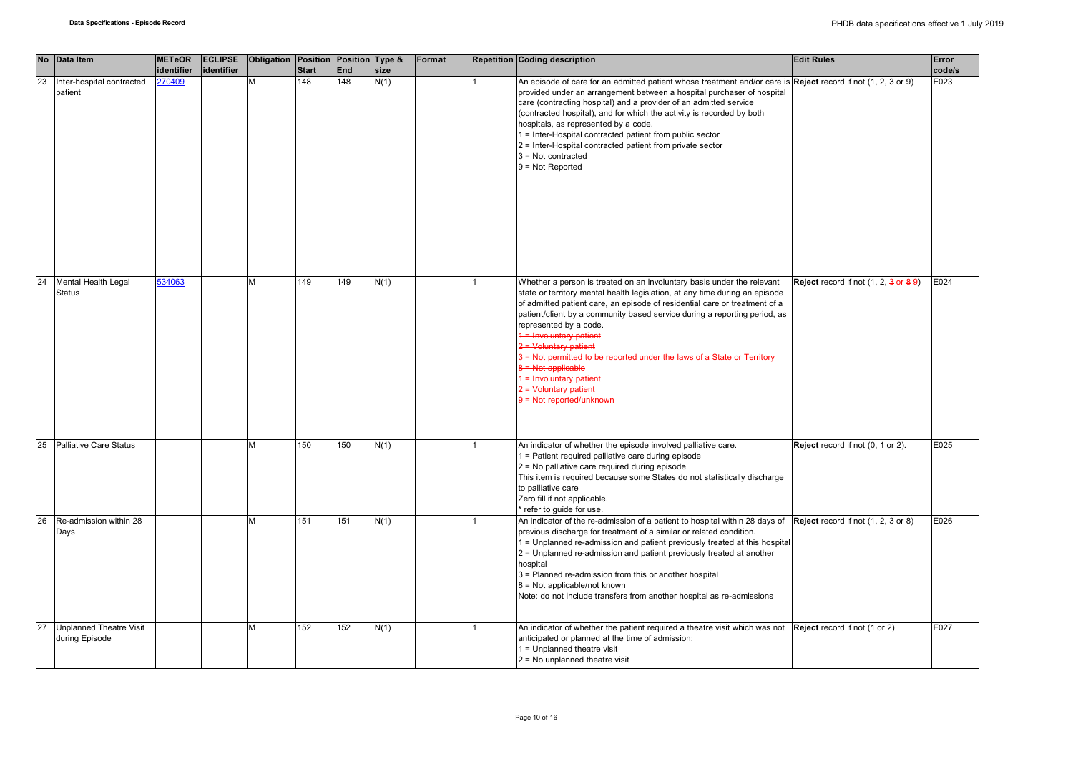|    | No Data Item                                     | <b>METeOR</b><br>identifier | identifier | ECLIPSE Obligation Position Position Type & | <b>Start</b> | End | size | Format | <b>Repetition Coding description</b>                                                                                                                                                                                                                                                                                                                                                                                                                                                                                                                                                      | <b>Edit Rules</b>                               | Error<br>code/s |
|----|--------------------------------------------------|-----------------------------|------------|---------------------------------------------|--------------|-----|------|--------|-------------------------------------------------------------------------------------------------------------------------------------------------------------------------------------------------------------------------------------------------------------------------------------------------------------------------------------------------------------------------------------------------------------------------------------------------------------------------------------------------------------------------------------------------------------------------------------------|-------------------------------------------------|-----------------|
| 23 | Inter-hospital contracted<br>patient             | 270409                      |            | M                                           | 148          | 148 | N(1) |        | An episode of care for an admitted patient whose treatment and/or care is Reject record if not (1, 2, 3 or 9)<br>provided under an arrangement between a hospital purchaser of hospital<br>care (contracting hospital) and a provider of an admitted service<br>(contracted hospital), and for which the activity is recorded by both<br>hospitals, as represented by a code.<br>1 = Inter-Hospital contracted patient from public sector<br>2 = Inter-Hospital contracted patient from private sector<br>$3 = Not contracted$<br>$9 = Not Repotted$                                      |                                                 | E023            |
| 24 | Mental Health Legal<br><b>Status</b>             | 534063                      |            | M                                           | 149          | 149 | N(1) |        | Whether a person is treated on an involuntary basis under the relevant<br>state or territory mental health legislation, at any time during an episode<br>of admitted patient care, an episode of residential care or treatment of a<br>patient/client by a community based service during a reporting period, as<br>represented by a code.<br>1 = Involuntary patient<br>$2 =$ Voluntary patient<br>3 = Not permitted to be reported under the laws of a State or Territory<br>$8 =$ Not applicable<br>$1 =$ Involuntary patient<br>$2 =$ Voluntary patient<br>$9 = Not reported/unknown$ | <b>Reject</b> record if not $(1, 2, 3$ or $89)$ | E024            |
| 25 | Palliative Care Status                           |                             |            | M                                           | 150          | 150 | N(1) |        | An indicator of whether the episode involved palliative care.<br>1 = Patient required palliative care during episode<br>2 = No palliative care required during episode<br>This item is required because some States do not statistically discharge<br>to palliative care<br>Zero fill if not applicable.<br>refer to guide for use.                                                                                                                                                                                                                                                       | Reject record if not (0, 1 or 2).               | E025            |
| 26 | Re-admission within 28<br>Days                   |                             |            | M                                           | 151          | 151 | N(1) |        | An indicator of the re-admission of a patient to hospital within 28 days of $\left  \text{Reject record if not } (1, 2, 3 \text{ or } 8) \right $<br>previous discharge for treatment of a similar or related condition.<br>1 = Unplanned re-admission and patient previously treated at this hospital<br>2 = Unplanned re-admission and patient previously treated at another<br>hospital<br>3 = Planned re-admission from this or another hospital<br>8 = Not applicable/not known<br>Note: do not include transfers from another hospital as re-admissions                             |                                                 | E026            |
| 27 | <b>Unplanned Theatre Visit</b><br>during Episode |                             |            | M                                           | 152          | 152 | N(1) |        | An indicator of whether the patient required a theatre visit which was not Reject record if not (1 or 2)<br>anticipated or planned at the time of admission:<br>1 = Unplanned theatre visit<br>$2$ = No unplanned theatre visit                                                                                                                                                                                                                                                                                                                                                           |                                                 | E027            |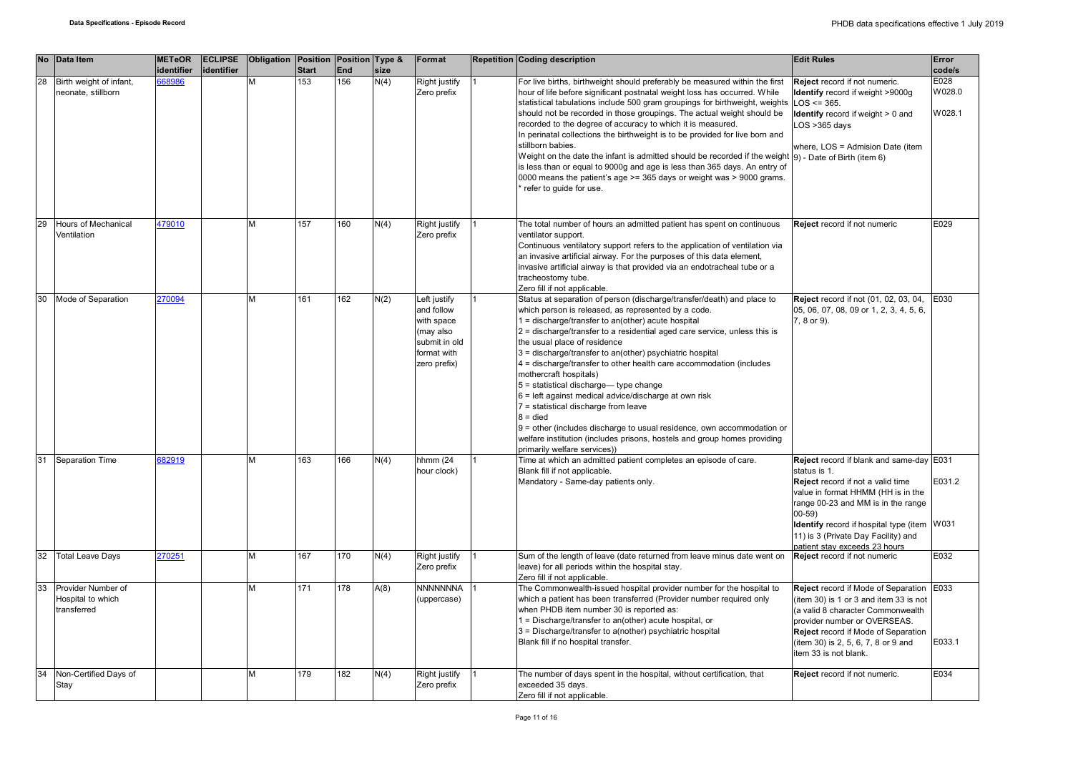|    | No Data Item                                           | <b>METeOR</b><br>identifier | <b>ECLIPSE</b><br>identifier | Obligation Position Position Type & | <b>Start</b> | End | size | Format                                                                                                | <b>Repetition Coding description</b>                                                                                                                                                                                                                                                                                                                                                                                                                                                                                                                                                                                                                                                                                                                                                                          | <b>Edit Rules</b>                                                                                                                                                                                                                                                                                             | Error<br>code/s          |
|----|--------------------------------------------------------|-----------------------------|------------------------------|-------------------------------------|--------------|-----|------|-------------------------------------------------------------------------------------------------------|---------------------------------------------------------------------------------------------------------------------------------------------------------------------------------------------------------------------------------------------------------------------------------------------------------------------------------------------------------------------------------------------------------------------------------------------------------------------------------------------------------------------------------------------------------------------------------------------------------------------------------------------------------------------------------------------------------------------------------------------------------------------------------------------------------------|---------------------------------------------------------------------------------------------------------------------------------------------------------------------------------------------------------------------------------------------------------------------------------------------------------------|--------------------------|
| 28 | Birth weight of infant,<br>neonate, stillborn          | 68986                       |                              | M                                   | 153          | 156 | N(4) | Right justify<br>Zero prefix                                                                          | For live births, birthweight should preferably be measured within the first<br>hour of life before significant postnatal weight loss has occurred. While<br>statistical tabulations include 500 gram groupings for birthweight, weights<br>should not be recorded in those groupings. The actual weight should be<br>recorded to the degree of accuracy to which it is measured.<br>In perinatal collections the birthweight is to be provided for live born and<br>stillborn babies.<br>Weight on the date the infant is admitted should be recorded if the weight $(9)$ - Date of Birth (item 6)<br>is less than or equal to 9000g and age is less than 365 days. An entry of<br>0000 means the patient's age >= 365 days or weight was > 9000 grams.<br>refer to guide for use.                            | Reject record if not numeric.<br>Identify record if weight >9000g<br>$LOS \le 365$ .<br><b>Identify</b> record if weight $> 0$ and<br>$LOS > 365$ days<br>where, LOS = Admision Date (item                                                                                                                    | E028<br>W028.0<br>W028.1 |
| 29 | Hours of Mechanical<br>Ventilation                     | 479010                      |                              | M                                   | 157          | 160 | N(4) | Right justify<br>Zero prefix                                                                          | The total number of hours an admitted patient has spent on continuous<br>ventilator support.<br>Continuous ventilatory support refers to the application of ventilation via<br>an invasive artificial airway. For the purposes of this data element,<br>invasive artificial airway is that provided via an endotracheal tube or a<br>tracheostomy tube.<br>Zero fill if not applicable.                                                                                                                                                                                                                                                                                                                                                                                                                       | Reject record if not numeric                                                                                                                                                                                                                                                                                  | E029                     |
| 30 | Mode of Separation                                     | 270094                      |                              | M                                   | 161          | 162 | N(2) | Left justify<br>and follow<br>with space<br>(may also<br>submit in old<br>format with<br>zero prefix) | Status at separation of person (discharge/transfer/death) and place to<br>which person is released, as represented by a code.<br>$1 =$ discharge/transfer to an(other) acute hospital<br>2 = discharge/transfer to a residential aged care service, unless this is<br>the usual place of residence<br>3 = discharge/transfer to an(other) psychiatric hospital<br>4 = discharge/transfer to other health care accommodation (includes<br>mothercraft hospitals)<br>5 = statistical discharge-type change<br>6 = left against medical advice/discharge at own risk<br>7 = statistical discharge from leave<br>$8 =$ died<br>9 = other (includes discharge to usual residence, own accommodation or<br>welfare institution (includes prisons, hostels and group homes providing<br>primarily welfare services)) | <b>Reject</b> record if not (01, 02, 03, 04,<br>05, 06, 07, 08, 09 or 1, 2, 3, 4, 5, 6,<br>7, 8 or 9).                                                                                                                                                                                                        | E030                     |
| 31 | Separation Time                                        | 682919                      |                              | м                                   | 163          | 166 | N(4) | hhmm (24<br>hour clock)                                                                               | Time at which an admitted patient completes an episode of care.<br>Blank fill if not applicable.<br>Mandatory - Same-day patients only.                                                                                                                                                                                                                                                                                                                                                                                                                                                                                                                                                                                                                                                                       | Reject record if blank and same-day E031<br>status is 1.<br>Reject record if not a valid time<br>value in format HHMM (HH is in the<br>range 00-23 and MM is in the range<br>$00 - 59$<br>Identify record if hospital type (item W031<br>11) is 3 (Private Day Facility) and<br>patient stav exceeds 23 hours | E031.2                   |
| 32 | <b>Total Leave Days</b>                                | 270251                      |                              | M                                   | 167          | 170 | N(4) | Right justify<br>Zero prefix                                                                          | Sum of the length of leave (date returned from leave minus date went on<br>leave) for all periods within the hospital stay.<br>Zero fill if not applicable.                                                                                                                                                                                                                                                                                                                                                                                                                                                                                                                                                                                                                                                   | Reject record if not numeric                                                                                                                                                                                                                                                                                  | E032                     |
| 33 | Provider Number of<br>Hospital to which<br>transferred |                             |                              | M                                   | 171          | 178 | A(8) | <b>NNNNNNNA</b><br>(uppercase)                                                                        | The Commonwealth-issued hospital provider number for the hospital to<br>which a patient has been transferred (Provider number required only<br>when PHDB item number 30 is reported as:<br>1 = Discharge/transfer to an(other) acute hospital, or<br>3 = Discharge/transfer to a(nother) psychiatric hospital<br>Blank fill if no hospital transfer.                                                                                                                                                                                                                                                                                                                                                                                                                                                          | Reject record if Mode of Separation E033<br>(item 30) is 1 or 3 and item 33 is not<br>(a valid 8 character Commonwealth<br>provider number or OVERSEAS.<br>Reject record if Mode of Separation<br>(item 30) is 2, 5, 6, 7, 8 or 9 and<br>item 33 is not blank.                                                | E033.1                   |
| 34 | Non-Certified Days of<br>Stay                          |                             |                              | M                                   | 179          | 182 | N(4) | Right justify<br>Zero prefix                                                                          | The number of days spent in the hospital, without certification, that<br>exceeded 35 days.<br>Zero fill if not applicable.                                                                                                                                                                                                                                                                                                                                                                                                                                                                                                                                                                                                                                                                                    | Reject record if not numeric.                                                                                                                                                                                                                                                                                 | E034                     |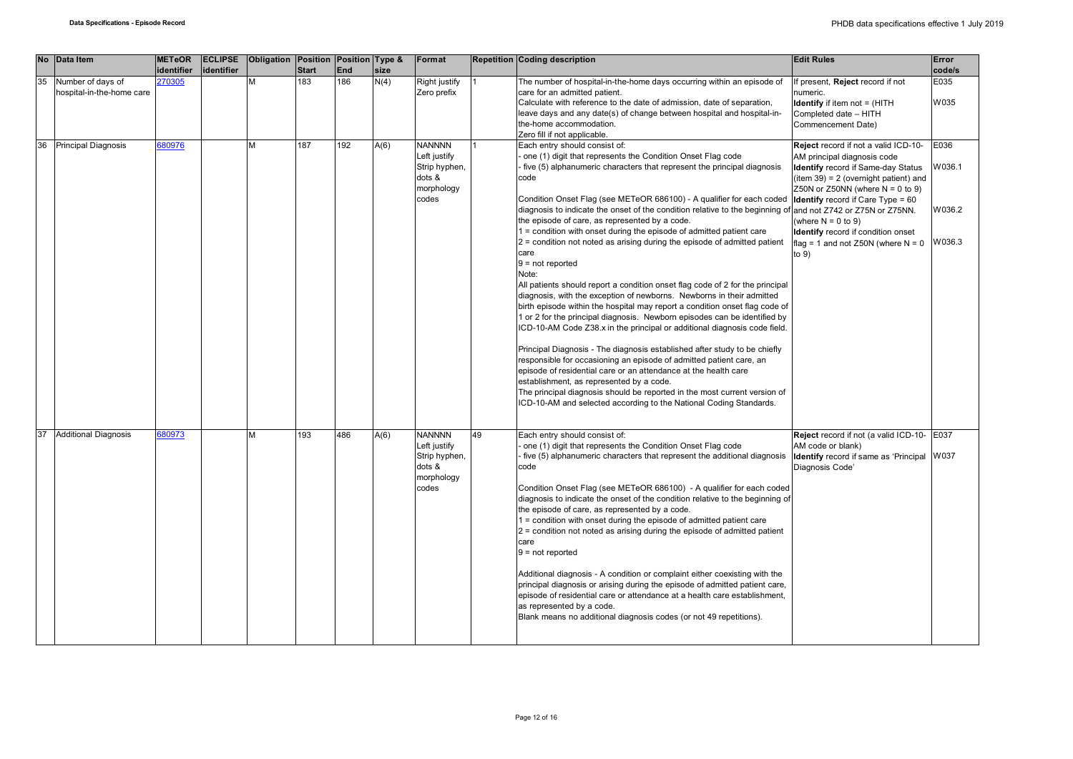|    | No Data Item                                   | <b>METeOR</b> | <b>ECLIPSE</b> | Obligation Position Position Type & |              |     |      | Format                                                                          |    | <b>Repetition Coding description</b>                                                                                                                                                                                                                                                                                                                                                                                                                                                                                                                                                                                                                                                                                                                                                                                                                                                                                                                                                                                                                                                                                                                                                                                                                                                                                                                                                                                                            | <b>Edit Rules</b>                                                                                                                                                                                                                                                                                                                                           | Error                              |
|----|------------------------------------------------|---------------|----------------|-------------------------------------|--------------|-----|------|---------------------------------------------------------------------------------|----|-------------------------------------------------------------------------------------------------------------------------------------------------------------------------------------------------------------------------------------------------------------------------------------------------------------------------------------------------------------------------------------------------------------------------------------------------------------------------------------------------------------------------------------------------------------------------------------------------------------------------------------------------------------------------------------------------------------------------------------------------------------------------------------------------------------------------------------------------------------------------------------------------------------------------------------------------------------------------------------------------------------------------------------------------------------------------------------------------------------------------------------------------------------------------------------------------------------------------------------------------------------------------------------------------------------------------------------------------------------------------------------------------------------------------------------------------|-------------------------------------------------------------------------------------------------------------------------------------------------------------------------------------------------------------------------------------------------------------------------------------------------------------------------------------------------------------|------------------------------------|
|    |                                                | identifier    | identifier     |                                     | <b>Start</b> | End | size |                                                                                 |    |                                                                                                                                                                                                                                                                                                                                                                                                                                                                                                                                                                                                                                                                                                                                                                                                                                                                                                                                                                                                                                                                                                                                                                                                                                                                                                                                                                                                                                                 |                                                                                                                                                                                                                                                                                                                                                             | code/s                             |
| 35 | Number of days of<br>hospital-in-the-home care | 270305        |                | M                                   | 183          | 186 | N(4) | Right justify<br>Zero prefix                                                    |    | The number of hospital-in-the-home days occurring within an episode of<br>care for an admitted patient.<br>Calculate with reference to the date of admission, date of separation,<br>leave days and any date(s) of change between hospital and hospital-in-<br>the-home accommodation.<br>Zero fill if not applicable.                                                                                                                                                                                                                                                                                                                                                                                                                                                                                                                                                                                                                                                                                                                                                                                                                                                                                                                                                                                                                                                                                                                          | f present, Reject record if not<br>numeric.<br><b>Identify</b> if item not = (HITH<br>Completed date - HITH<br>Commencement Date)                                                                                                                                                                                                                           | E035<br>W035                       |
| 36 | <b>Principal Diagnosis</b>                     | 680976        |                | м                                   | 187          | 192 | A(6) | <b>NANNNN</b><br>Left justify<br>Strip hyphen,<br>dots &<br>morphology<br>codes |    | Each entry should consist of:<br>one (1) digit that represents the Condition Onset Flag code<br>five (5) alphanumeric characters that represent the principal diagnosis<br>code<br>Condition Onset Flag (see METeOR 686100) - A qualifier for each coded<br>diagnosis to indicate the onset of the condition relative to the beginning of and not Z742 or Z75N or Z75NN.<br>the episode of care, as represented by a code.<br>1 = condition with onset during the episode of admitted patient care<br>2 = condition not noted as arising during the episode of admitted patient<br>care<br>$9 = not reported$<br>Note:<br>All patients should report a condition onset flag code of 2 for the principal<br>diagnosis, with the exception of newborns. Newborns in their admitted<br>birth episode within the hospital may report a condition onset flag code of<br>1 or 2 for the principal diagnosis. Newborn episodes can be identified by<br>ICD-10-AM Code Z38.x in the principal or additional diagnosis code field.<br>Principal Diagnosis - The diagnosis established after study to be chiefly<br>responsible for occasioning an episode of admitted patient care, an<br>episode of residential care or an attendance at the health care<br>establishment, as represented by a code.<br>The principal diagnosis should be reported in the most current version of<br>ICD-10-AM and selected according to the National Coding Standards. | Reject record if not a valid ICD-10-<br>AM principal diagnosis code<br>Identify record if Same-day Status<br>$item 39) = 2 (overnight patient)$ and<br>Z50N or Z50NN (where $N = 0$ to 9)<br><b>Identify</b> record if Care Type = 60<br>(where $N = 0$ to 9)<br><b>Identify</b> record if condition onset<br>flag = 1 and not Z50N (where $N = 0$<br>to 9) | E036<br>W036.1<br>W036.2<br>V036.3 |
| 37 | <b>Additional Diagnosis</b>                    | 680973        |                | M                                   | 193          | 486 | A(6) | <b>NANNNN</b><br>Left justify<br>Strip hyphen,<br>dots &<br>morphology<br>codes | 49 | Each entry should consist of:<br>one (1) digit that represents the Condition Onset Flag code<br>five (5) alphanumeric characters that represent the additional diagnosis<br>code<br>Condition Onset Flag (see METeOR 686100) - A qualifier for each coded<br>diagnosis to indicate the onset of the condition relative to the beginning of<br>the episode of care, as represented by a code.<br>1 = condition with onset during the episode of admitted patient care<br>2 = condition not noted as arising during the episode of admitted patient<br>care<br>$9 = not reported$<br>Additional diagnosis - A condition or complaint either coexisting with the<br>principal diagnosis or arising during the episode of admitted patient care,<br>episode of residential care or attendance at a health care establishment,<br>as represented by a code.<br>Blank means no additional diagnosis codes (or not 49 repetitions).                                                                                                                                                                                                                                                                                                                                                                                                                                                                                                                    | Reject record if not (a valid ICD-10- E037<br>AM code or blank)<br>Identify record if same as 'Principal W037<br>Diagnosis Code'                                                                                                                                                                                                                            |                                    |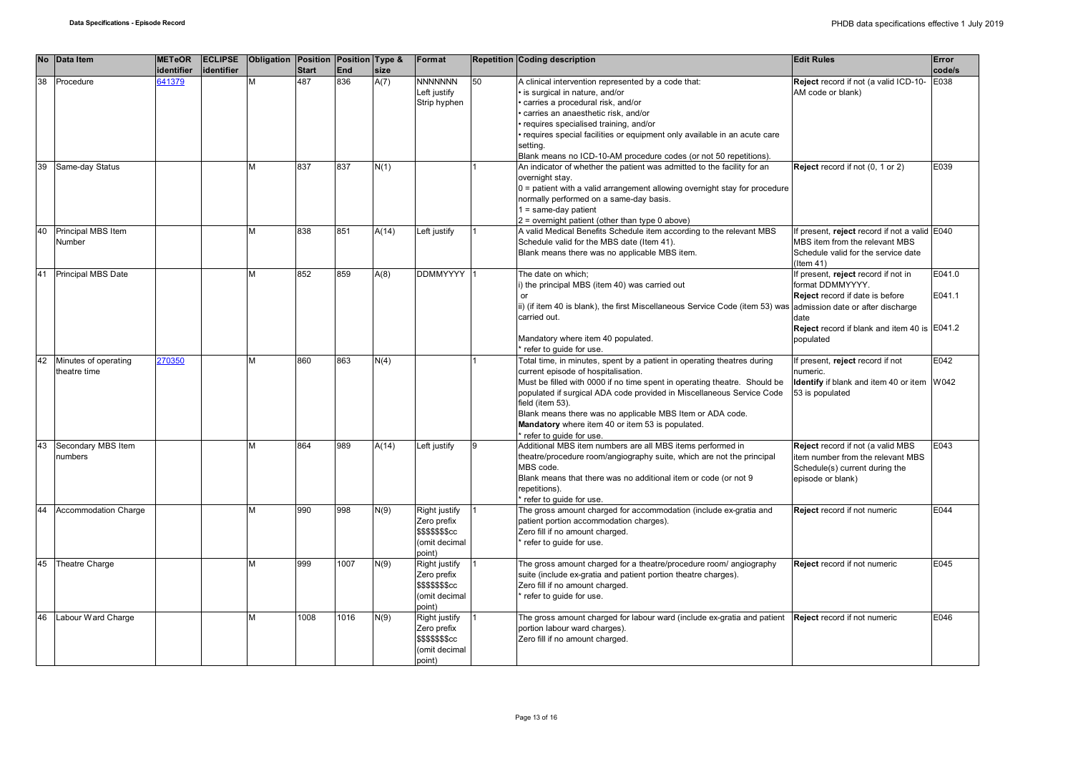|    | No Data Item                         | <b>METeOR</b><br>identifier | <b>ECLIPSE</b><br>identifier | Obligation Position Position Type & | <b>Start</b> | <b>End</b> | size  | Format                                                                            |    | <b>Repetition Coding description</b>                                                                                                                                                                                                                                                                                                                                                                                                 | <b>Edit Rules</b>                                                                                                                                               | Error<br>code/s  |
|----|--------------------------------------|-----------------------------|------------------------------|-------------------------------------|--------------|------------|-------|-----------------------------------------------------------------------------------|----|--------------------------------------------------------------------------------------------------------------------------------------------------------------------------------------------------------------------------------------------------------------------------------------------------------------------------------------------------------------------------------------------------------------------------------------|-----------------------------------------------------------------------------------------------------------------------------------------------------------------|------------------|
| 38 | Procedure                            | 641379                      |                              | M                                   | 487          | 836        | A(7)  | <b>NNNNNNN</b><br>eft justify<br>Strip hyphen                                     | 50 | A clinical intervention represented by a code that:<br>· is surgical in nature, and/or<br>carries a procedural risk, and/or<br>carries an anaesthetic risk, and/or<br>· requires specialised training, and/or<br>requires special facilities or equipment only available in an acute care<br>setting.<br>Blank means no ICD-10-AM procedure codes (or not 50 repetitions).                                                           | Reject record if not (a valid ICD-10-<br>AM code or blank)                                                                                                      | E038             |
| 39 | Same-day Status                      |                             |                              | M                                   | 837          | 837        | N(1)  |                                                                                   |    | An indicator of whether the patient was admitted to the facility for an<br>overnight stay.<br>0 = patient with a valid arrangement allowing overnight stay for procedure<br>normally performed on a same-day basis.<br>$1 = same-day patient$<br>$2$ = overnight patient (other than type 0 above)                                                                                                                                   | Reject record if not (0, 1 or 2)                                                                                                                                | E039             |
| 40 | Principal MBS Item<br>Number         |                             |                              | M                                   | 838          | 851        | A(14) | Left justify                                                                      |    | A valid Medical Benefits Schedule item according to the relevant MBS<br>Schedule valid for the MBS date (Item 41).<br>Blank means there was no applicable MBS item.                                                                                                                                                                                                                                                                  | If present, reject record if not a valid E040<br>MBS item from the relevant MBS<br>Schedule valid for the service date<br>(Item 41)                             |                  |
| 41 | Principal MBS Date                   |                             |                              | M                                   | 852          | 859        | A(8)  | <b>DDMMYYYY</b>                                                                   |    | The date on which:<br>i) the principal MBS (item 40) was carried out<br>ii) (if item 40 is blank), the first Miscellaneous Service Code (item 53) was admission date or after discharge<br>carried out.<br>Mandatory where item 40 populated.<br>refer to quide for use.                                                                                                                                                             | If present, reject record if not in<br>format DDMMYYYY.<br>Reject record if date is before<br>date<br>Reject record if blank and item 40 is E041.2<br>populated | E041.0<br>E041.1 |
| 42 | Minutes of operating<br>theatre time | 270350                      |                              | M                                   | 860          | 863        | N(4)  |                                                                                   |    | Total time, in minutes, spent by a patient in operating theatres during<br>current episode of hospitalisation.<br>Must be filled with 0000 if no time spent in operating theatre. Should be<br>populated if surgical ADA code provided in Miscellaneous Service Code<br>field (item 53).<br>Blank means there was no applicable MBS Item or ADA code.<br>Mandatory where item 40 or item 53 is populated.<br>refer to quide for use. | If present, reject record if not<br>numeric.<br>Identify if blank and item 40 or item W042<br>53 is populated                                                   | E042             |
| 43 | Secondary MBS Item<br>numbers        |                             |                              | M                                   | 864          | 989        | A(14) | Left justify                                                                      |    | Additional MBS item numbers are all MBS items performed in<br>theatre/procedure room/angiography suite, which are not the principal<br>MBS code.<br>Blank means that there was no additional item or code (or not 9<br>repetitions).<br>refer to guide for use.                                                                                                                                                                      | Reject record if not (a valid MBS<br>item number from the relevant MBS<br>Schedule(s) current during the<br>episode or blank)                                   | E043             |
|    | <b>Accommodation Charge</b>          |                             |                              | M                                   | 990          | 998        | N(9)  | Right justify<br>Zero prefix<br><b>\$\$\$\$\$\$\$cc</b><br>omit decimal<br>point) |    | The gross amount charged for accommodation (include ex-gratia and<br>patient portion accommodation charges).<br>Zero fill if no amount charged.<br>refer to guide for use.                                                                                                                                                                                                                                                           | <b>Reject</b> record if not numeric                                                                                                                             | E044             |
| 45 | <b>Theatre Charge</b>                |                             |                              | M                                   | 999          | 1007       | N(9)  | Right justify<br>Zero prefix<br>\$\$\$\$\$\$cc<br>(omit decimal<br>point)         |    | The gross amount charged for a theatre/procedure room/ angiography<br>suite (include ex-gratia and patient portion theatre charges).<br>Zero fill if no amount charged.<br>refer to guide for use.                                                                                                                                                                                                                                   | Reject record if not numeric                                                                                                                                    | E045             |
| 46 | Labour Ward Charge                   |                             |                              | M                                   | 1008         | 1016       | N(9)  | Right justify<br>Zero prefix<br>\$\$\$\$\$\$\$cc<br>(omit decimal<br>point)       |    | The gross amount charged for labour ward (include ex-gratia and patient Reject record if not numeric<br>portion labour ward charges).<br>Zero fill if no amount charged.                                                                                                                                                                                                                                                             |                                                                                                                                                                 | E046             |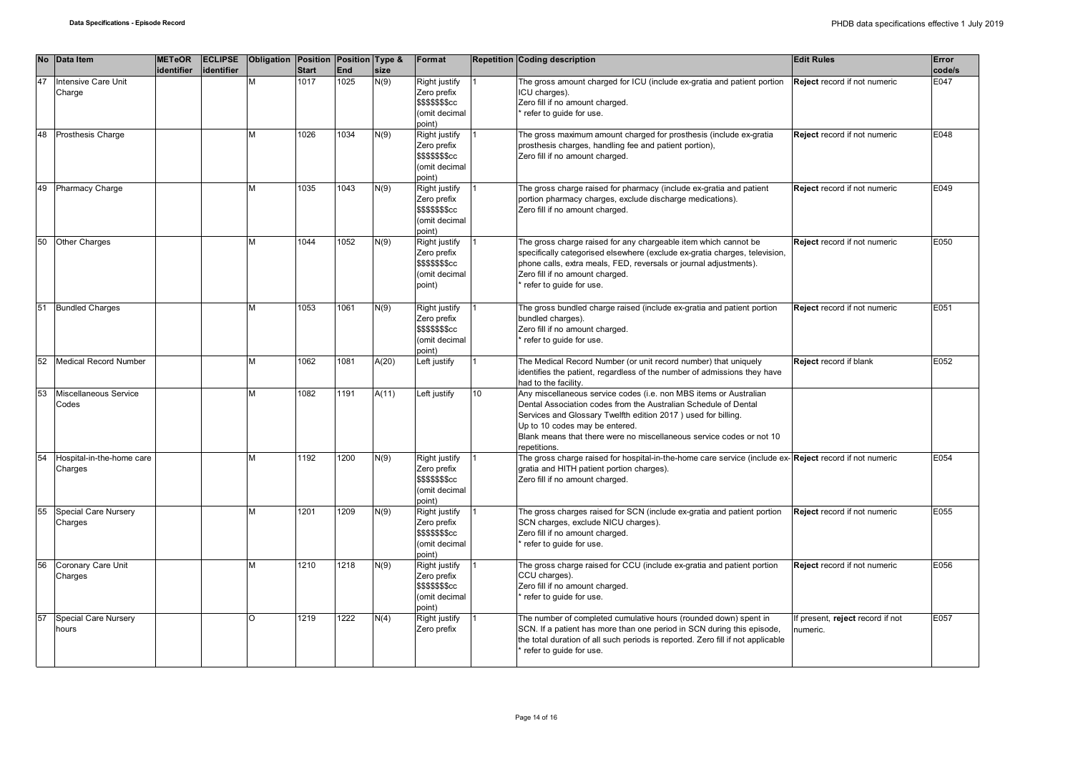|    | No Data Item                         | <b>METeOR</b><br>identifier | identifier | ECLIPSE Obligation Position Position Type & | <b>Start</b> | <b>End</b> | size  | Format                                                                             |                  | <b>Repetition Coding description</b>                                                                                                                                                                                                                                                                                            | <b>Edit Rules</b>                            | Error<br>code/s |
|----|--------------------------------------|-----------------------------|------------|---------------------------------------------|--------------|------------|-------|------------------------------------------------------------------------------------|------------------|---------------------------------------------------------------------------------------------------------------------------------------------------------------------------------------------------------------------------------------------------------------------------------------------------------------------------------|----------------------------------------------|-----------------|
| 47 | Intensive Care Unit<br>Charge        |                             |            | M                                           | 1017         | 1025       | N(9)  | Right justify<br>Zero prefix<br><b>\$\$\$\$\$\$\$cc</b><br>(omit decimal<br>point) |                  | The gross amount charged for ICU (include ex-gratia and patient portion<br>CU charges).<br>Zero fill if no amount charged.<br>refer to guide for use.                                                                                                                                                                           | Reject record if not numeric                 | E047            |
| 48 | Prosthesis Charge                    |                             |            | M                                           | 1026         | 1034       | N(9)  | Right justify<br>Zero prefix<br><b>\$\$\$\$\$\$\$cc</b><br>(omit decimal<br>point) |                  | The gross maximum amount charged for prosthesis (include ex-gratia<br>prosthesis charges, handling fee and patient portion),<br>Zero fill if no amount charged.                                                                                                                                                                 | Reject record if not numeric                 | E048            |
| 49 | Pharmacy Charge                      |                             |            | M                                           | 1035         | 1043       | N(9)  | Right justify<br>Zero prefix<br><b>\$\$\$\$\$\$\$cc</b><br>(omit decimal<br>point) |                  | The gross charge raised for pharmacy (include ex-gratia and patient<br>portion pharmacy charges, exclude discharge medications).<br>Zero fill if no amount charged.                                                                                                                                                             | Reject record if not numeric                 | E049            |
| 50 | Other Charges                        |                             |            | M                                           | 1044         | 1052       | N(9)  | Right justify<br>Zero prefix<br><b>\$\$\$\$\$\$\$cc</b><br>(omit decimal<br>point) |                  | The gross charge raised for any chargeable item which cannot be<br>specifically categorised elsewhere (exclude ex-gratia charges, television,<br>phone calls, extra meals, FED, reversals or journal adjustments).<br>Zero fill if no amount charged.<br>refer to guide for use.                                                | Reject record if not numeric                 | E050            |
| 51 | <b>Bundled Charges</b>               |                             |            | M                                           | 1053         | 1061       | N(9)  | Right justify<br>Zero prefix<br>\$\$\$\$\$\$cc<br>(omit decimal<br>point)          |                  | The gross bundled charge raised (include ex-gratia and patient portion<br>bundled charges).<br>Zero fill if no amount charged.<br>refer to guide for use.                                                                                                                                                                       | Reject record if not numeric                 | E051            |
| 52 | Medical Record Number                |                             |            | M                                           | 1062         | 1081       | A(20) | Left justify                                                                       |                  | The Medical Record Number (or unit record number) that uniquely<br>identifies the patient, regardless of the number of admissions they have<br>had to the facility.                                                                                                                                                             | Reject record if blank                       | E052            |
| 53 | Miscellaneous Service<br>Codes       |                             |            | M                                           | 1082         | 1191       | A(11) | Left justify                                                                       | 10 <sup>10</sup> | Any miscellaneous service codes (i.e. non MBS items or Australian<br>Dental Association codes from the Australian Schedule of Dental<br>Services and Glossary Twelfth edition 2017) used for billing.<br>Up to 10 codes may be entered.<br>Blank means that there were no miscellaneous service codes or not 10<br>repetitions. |                                              |                 |
| 54 | Hospital-in-the-home care<br>Charges |                             |            | M                                           | 1192         | 1200       | N(9)  | Right justify<br>Zero prefix<br>\$\$\$\$\$\$\$cc<br>(omit decimal<br>point)        |                  | The gross charge raised for hospital-in-the-home care service (include ex-Reject record if not numeric<br>gratia and HITH patient portion charges).<br>Zero fill if no amount charged.                                                                                                                                          |                                              | E054            |
| 55 | Special Care Nursery<br>Charges      |                             |            | M                                           | 1201         | 1209       | N(9)  | Right justify<br>Zero prefix<br><b>\$\$\$\$\$\$\$cc</b><br>(omit decimal<br>point) |                  | The gross charges raised for SCN (include ex-gratia and patient portion<br>SCN charges, exclude NICU charges).<br>Zero fill if no amount charged.<br>refer to guide for use.                                                                                                                                                    | Reject record if not numeric                 | E055            |
| 56 | Coronary Care Unit<br>Charges        |                             |            | M                                           | 1210         | 1218       | N(9)  | Right justify<br>Zero prefix<br><b>\$\$\$\$\$\$\$cc</b><br>(omit decimal<br>point) |                  | The gross charge raised for CCU (include ex-gratia and patient portion<br>CCU charges).<br>Zero fill if no amount charged.<br>refer to guide for use.                                                                                                                                                                           | Reject record if not numeric                 | E056            |
| 57 | <b>Special Care Nursery</b><br>hours |                             |            | $\circ$                                     | 1219         | 1222       | N(4)  | Right justify<br>Zero prefix                                                       |                  | The number of completed cumulative hours (rounded down) spent in<br>SCN. If a patient has more than one period in SCN during this episode,<br>the total duration of all such periods is reported. Zero fill if not applicable<br>refer to quide for use.                                                                        | If present, reject record if not<br>numeric. | E057            |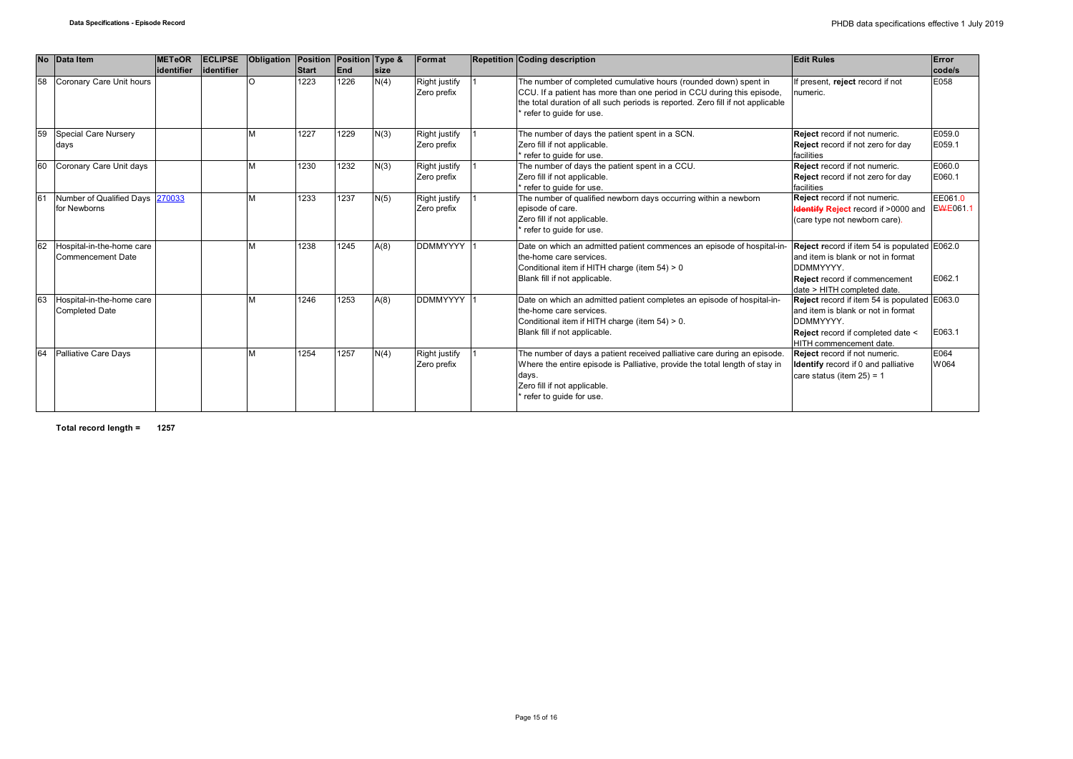|     |    | No Data Item                                       | <b>METeOR</b><br>lidentifier | <b>ECLIPSE</b><br>lidentifier | Obligation | Position Position Type &<br><b>Start</b> | <b>IEnd</b> | <b>size</b> | Format                       | <b>Repetition Coding description</b>                                                                                                                                                                                                                     | <b>Edit Rules</b>                                                                                                                                               | Error<br>code/s     |
|-----|----|----------------------------------------------------|------------------------------|-------------------------------|------------|------------------------------------------|-------------|-------------|------------------------------|----------------------------------------------------------------------------------------------------------------------------------------------------------------------------------------------------------------------------------------------------------|-----------------------------------------------------------------------------------------------------------------------------------------------------------------|---------------------|
|     | 58 | Coronary Care Unit hours                           |                              |                               |            | 1223                                     | 1226        | N(4)        | Right justify<br>Zero prefix | The number of completed cumulative hours (rounded down) spent in<br>CCU. If a patient has more than one period in CCU during this episode,<br>the total duration of all such periods is reported. Zero fill if not applicable<br>refer to quide for use. | If present, reject record if not<br>numeric.                                                                                                                    | E058                |
|     | 59 | <b>Special Care Nursery</b><br>days                |                              |                               |            | 1227                                     | 1229        | N(3)        | Right justify<br>Zero prefix | The number of days the patient spent in a SCN.<br>Zero fill if not applicable.<br>refer to guide for use.                                                                                                                                                | Reject record if not numeric.<br>Reject record if not zero for day<br>facilities                                                                                | E059.0<br>E059.1    |
|     | 60 | Coronary Care Unit days                            |                              |                               | <b>M</b>   | 1230                                     | 1232        | N(3)        | Right justify<br>Zero prefix | The number of days the patient spent in a CCU.<br>Zero fill if not applicable.<br>refer to quide for use.                                                                                                                                                | Reject record if not numeric.<br>Reject record if not zero for day<br>facilities                                                                                | E060.0<br>E060.1    |
| l61 |    | Number of Qualified Days 270033<br>for Newborns    |                              |                               | <b>M</b>   | 1233                                     | 1237        | N(5)        | Right justify<br>Zero prefix | The number of qualified newborn days occurring within a newborn<br>episode of care.<br>Zero fill if not applicable.<br>refer to guide for use.                                                                                                           | <b>Reject</b> record if not numeric.<br><b>Identify Reject</b> record if >0000 and<br>(care type not newborn care).                                             | EE061.0<br>EWE061.1 |
|     | 62 | Hospital-in-the-home care<br>Commencement Date     |                              |                               | <b>N</b>   | 1238                                     | 1245        | A(8)        | <b>DDMMYYYY</b>              | Date on which an admitted patient commences an episode of hospital-in-<br>the-home care services.<br>Conditional item if HITH charge (item 54) > 0<br>Blank fill if not applicable.                                                                      | Reject record if item 54 is populated E062.0<br>and item is blank or not in format<br>DDMMYYYY.<br>Reject record if commencement<br>date > HITH completed date. | E062.1              |
|     | 63 | Hospital-in-the-home care<br><b>Completed Date</b> |                              |                               |            | 1246                                     | 1253        | A(8)        | <b>DDMMYYYY</b>              | Date on which an admitted patient completes an episode of hospital-in-<br>the-home care services.<br>Conditional item if HITH charge (item 54) > 0.<br>Blank fill if not applicable.                                                                     | Reject record if item 54 is populated E063.0<br>and item is blank or not in format<br>DDMMYYYY.<br>Reject record if completed date <<br>HITH commencement date. | E063.1              |
|     | 64 | Palliative Care Days                               |                              |                               |            | 1254                                     | 1257        | N(4)        | Right justify<br>Zero prefix | The number of days a patient received palliative care during an episode.<br>Where the entire episode is Palliative, provide the total length of stay in<br>days.<br>Zero fill if not applicable.<br>refer to guide for use.                              | Reject record if not numeric.<br><b>Identify</b> record if 0 and palliative<br>care status (item $25$ ) = 1                                                     | E064<br>W064        |

**Total record length = 1257**